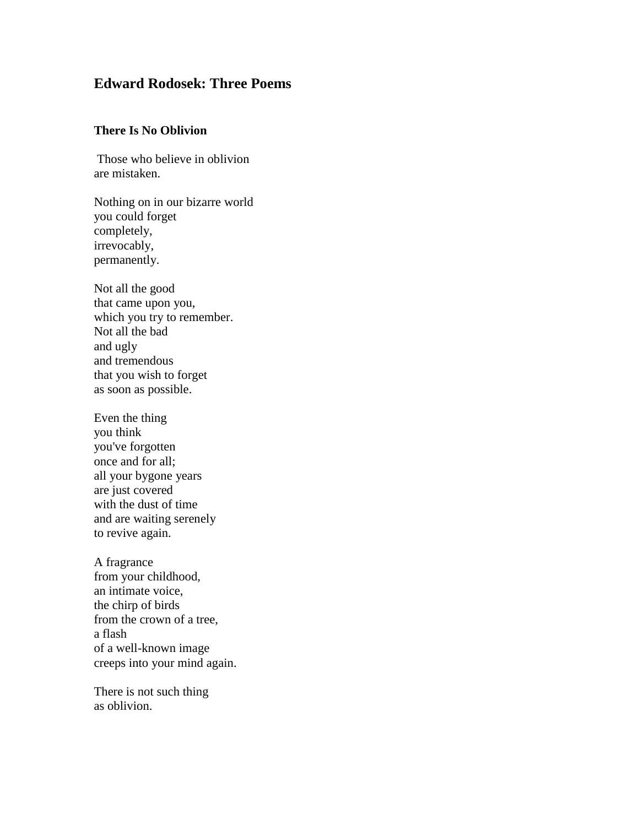## **Edward Rodosek: Three Poems**

## **There Is No Oblivion**

Those who believe in oblivion are mistaken.

Nothing on in our bizarre world you could forget completely, irrevocably, permanently.

Not all the good that came upon you, which you try to remember. Not all the bad and ugly and tremendous that you wish to forget as soon as possible.

Even the thing you think you've forgotten once and for all; all your bygone years are just covered with the dust of time and are waiting serenely to revive again.

A fragrance from your childhood, an intimate voice, the chirp of birds from the crown of a tree, a flash of a well-known image creeps into your mind again.

There is not such thing as oblivion.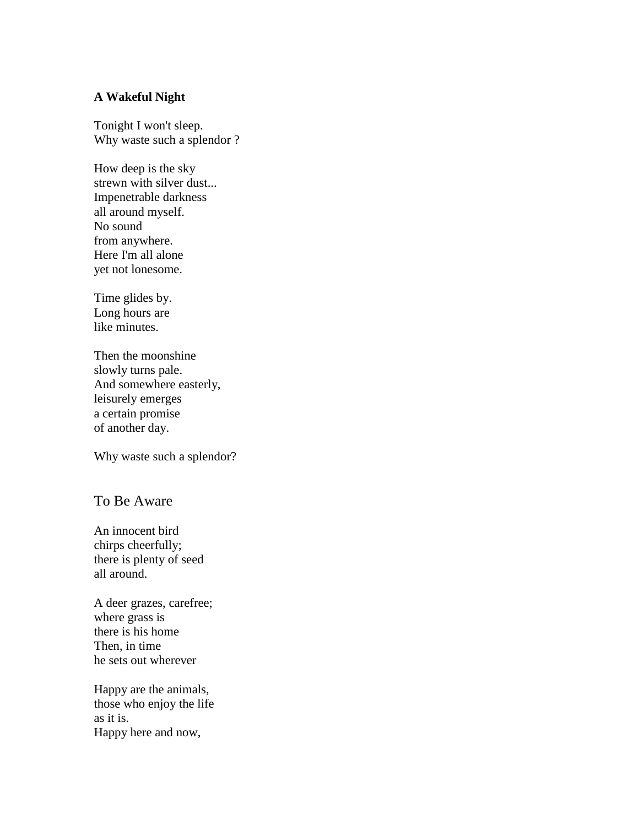## **A Wakeful Night**

Tonight I won't sleep. Why waste such a splendor ?

How deep is the sky strewn with silver dust... Impenetrable darkness all around myself. No sound from anywhere. Here I'm all alone yet not lonesome.

Time glides by. Long hours are like minutes.

Then the moonshine slowly turns pale. And somewhere easterly, leisurely emerges a certain promise of another day.

Why waste such a splendor?

## To Be Aware

An innocent bird chirps cheerfully; there is plenty of seed all around.

A deer grazes, carefree; where grass is there is his home Then, in time he sets out wherever

Happy are the animals, those who enjoy the life as it is. Happy here and now,